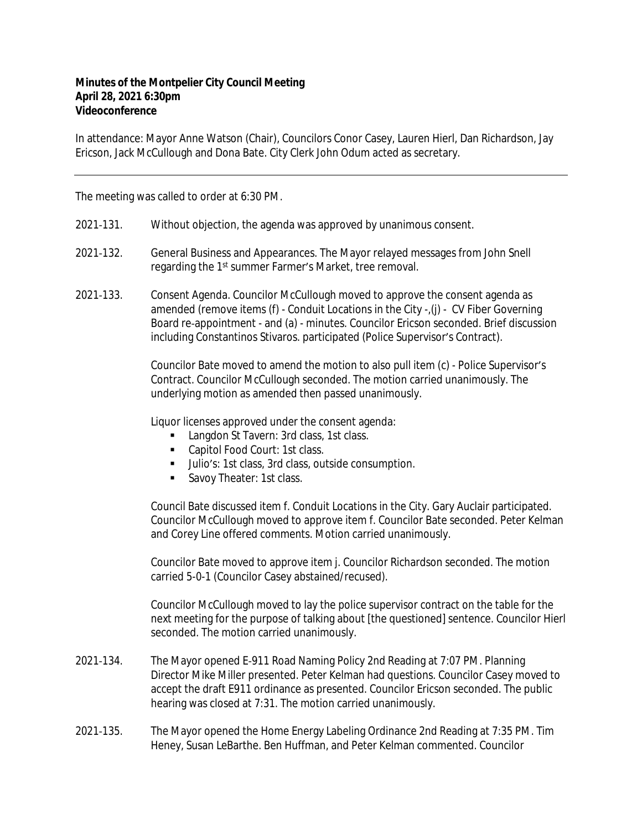## **Minutes of the Montpelier City Council Meeting April 28, 2021 6:30pm Videoconference**

In attendance: Mayor Anne Watson (Chair), Councilors Conor Casey, Lauren Hierl, Dan Richardson, Jay Ericson, Jack McCullough and Dona Bate. City Clerk John Odum acted as secretary.

The meeting was called to order at 6:30 PM.

- 2021‐131. Without objection, the agenda was approved by unanimous consent.
- 2021‐132. General Business and Appearances. The Mayor relayed messages from John Snell regarding the 1<sup>st</sup> summer Farmer's Market, tree removal.
- 2021‐133. Consent Agenda. Councilor McCullough moved to approve the consent agenda as amended (remove items (f) - Conduit Locations in the City -,(j) - CV Fiber Governing Board re‐appointment - and (a) - minutes. Councilor Ericson seconded. Brief discussion including Constantinos Stivaros. participated (Police Supervisor's Contract).

Councilor Bate moved to amend the motion to also pull item (c) - Police Supervisor's Contract. Councilor McCullough seconded. The motion carried unanimously. The underlying motion as amended then passed unanimously.

Liquor licenses approved under the consent agenda:

- **Langdon St Tavern: 3rd class, 1st class.**
- Capitol Food Court: 1st class.
- Ullio's: 1st class, 3rd class, outside consumption.
- Savoy Theater: 1st class.

Council Bate discussed item f. Conduit Locations in the City. Gary Auclair participated. Councilor McCullough moved to approve item f. Councilor Bate seconded. Peter Kelman and Corey Line offered comments. Motion carried unanimously.

Councilor Bate moved to approve item j. Councilor Richardson seconded. The motion carried 5-0-1 (Councilor Casey abstained/recused).

Councilor McCullough moved to lay the police supervisor contract on the table for the next meeting for the purpose of talking about [the questioned] sentence. Councilor Hierl seconded. The motion carried unanimously.

- 2021‐134. The Mayor opened E‐911 Road Naming Policy 2nd Reading at 7:07 PM. Planning Director Mike Miller presented. Peter Kelman had questions. Councilor Casey moved to accept the draft E911 ordinance as presented. Councilor Ericson seconded. The public hearing was closed at 7:31. The motion carried unanimously.
- 2021‐135. The Mayor opened the Home Energy Labeling Ordinance 2nd Reading at 7:35 PM. Tim Heney, Susan LeBarthe. Ben Huffman, and Peter Kelman commented. Councilor